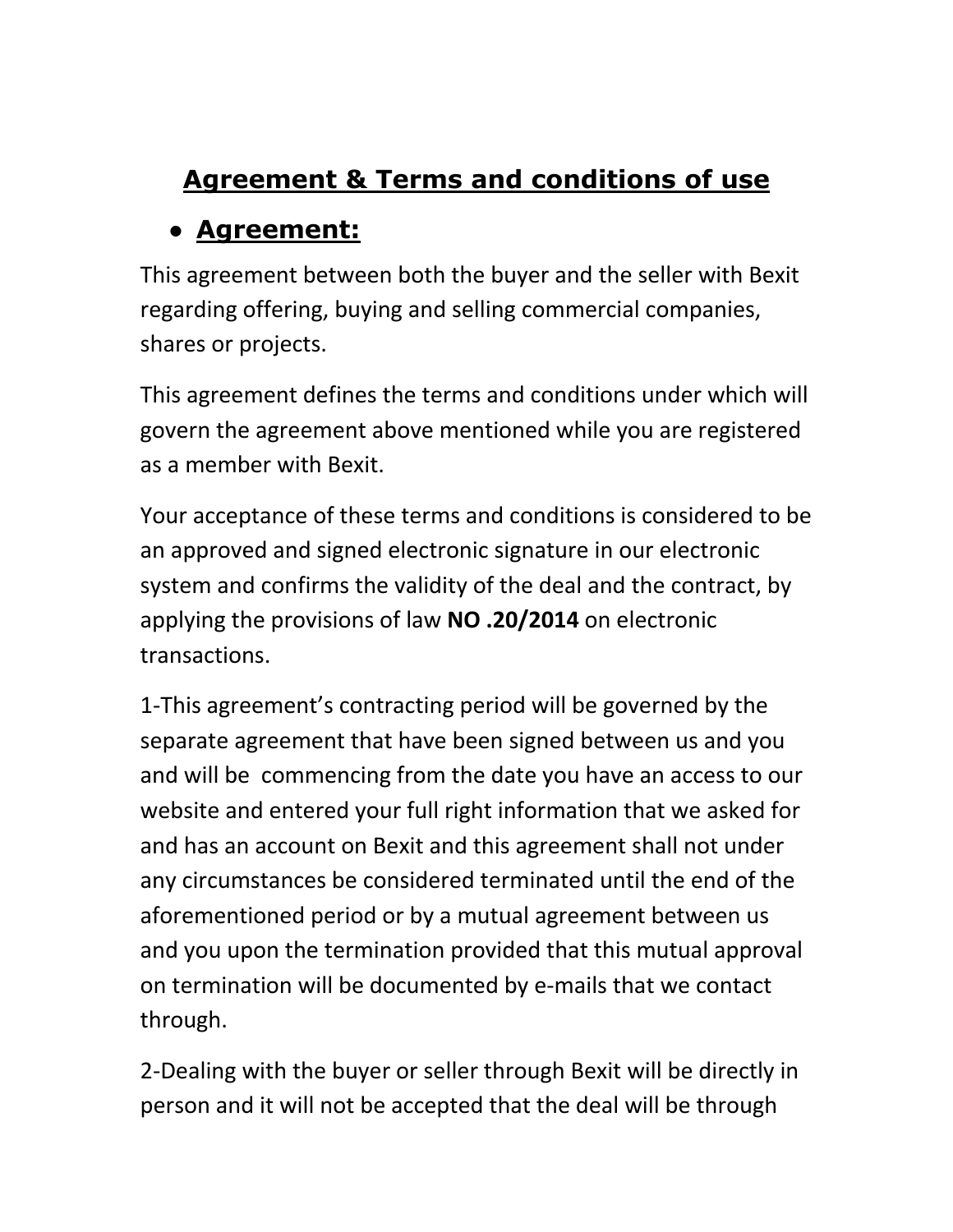# **Agreement & Terms and conditions of use**

# ● **Agreement:**

This agreement between both the buyer and the seller with Bexit regarding offering, buying and selling commercial companies, shares or projects.

This agreement defines the terms and conditions under which will govern the agreement above mentioned while you are registered as a member with Bexit.

Your acceptance of these terms and conditions is considered to be an approved and signed electronic signature in our electronic system and confirms the validity of the deal and the contract, by applying the provisions of law **NO .20/2014** on electronic transactions.

1-This agreement's contracting period will be governed by the separate agreement that have been signed between us and you and will be commencing from the date you have an access to our website and entered your full right information that we asked for and has an account on Bexit and this agreement shall not under any circumstances be considered terminated until the end of the aforementioned period or by a mutual agreement between us and you upon the termination provided that this mutual approval on termination will be documented by e-mails that we contact through.

2-Dealing with the buyer or seller through Bexit will be directly in person and it will not be accepted that the deal will be through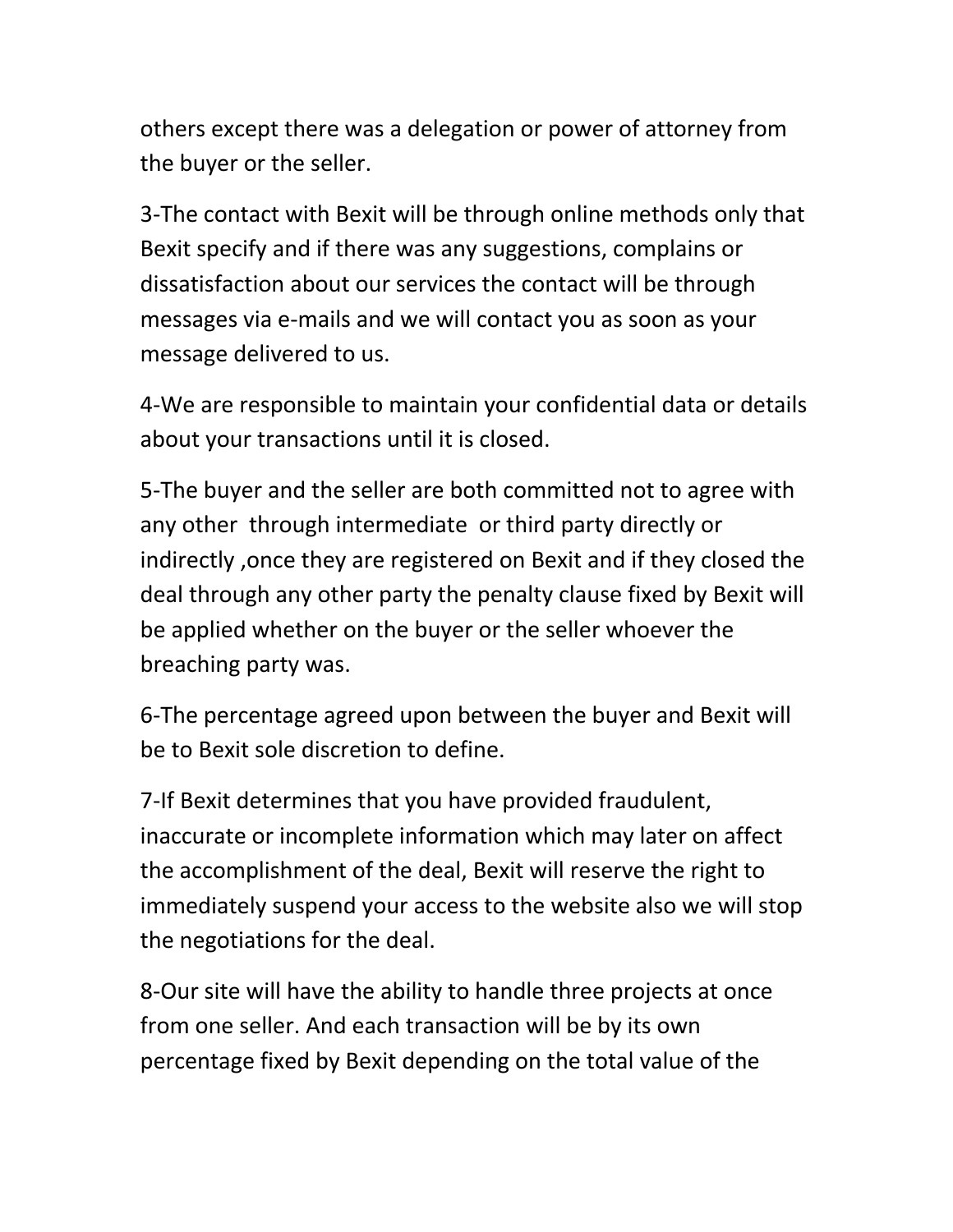others except there was a delegation or power of attorney from the buyer or the seller.

3-The contact with Bexit will be through online methods only that Bexit specify and if there was any suggestions, complains or dissatisfaction about our services the contact will be through messages via e-mails and we will contact you as soon as your message delivered to us.

4-We are responsible to maintain your confidential data or details about your transactions until it is closed.

5-The buyer and the seller are both committed not to agree with any other through intermediate or third party directly or indirectly ,once they are registered on Bexit and if they closed the deal through any other party the penalty clause fixed by Bexit will be applied whether on the buyer or the seller whoever the breaching party was.

6-The percentage agreed upon between the buyer and Bexit will be to Bexit sole discretion to define.

7-If Bexit determines that you have provided fraudulent, inaccurate or incomplete information which may later on affect the accomplishment of the deal, Bexit will reserve the right to immediately suspend your access to the website also we will stop the negotiations for the deal.

8-Our site will have the ability to handle three projects at once from one seller. And each transaction will be by its own percentage fixed by Bexit depending on the total value of the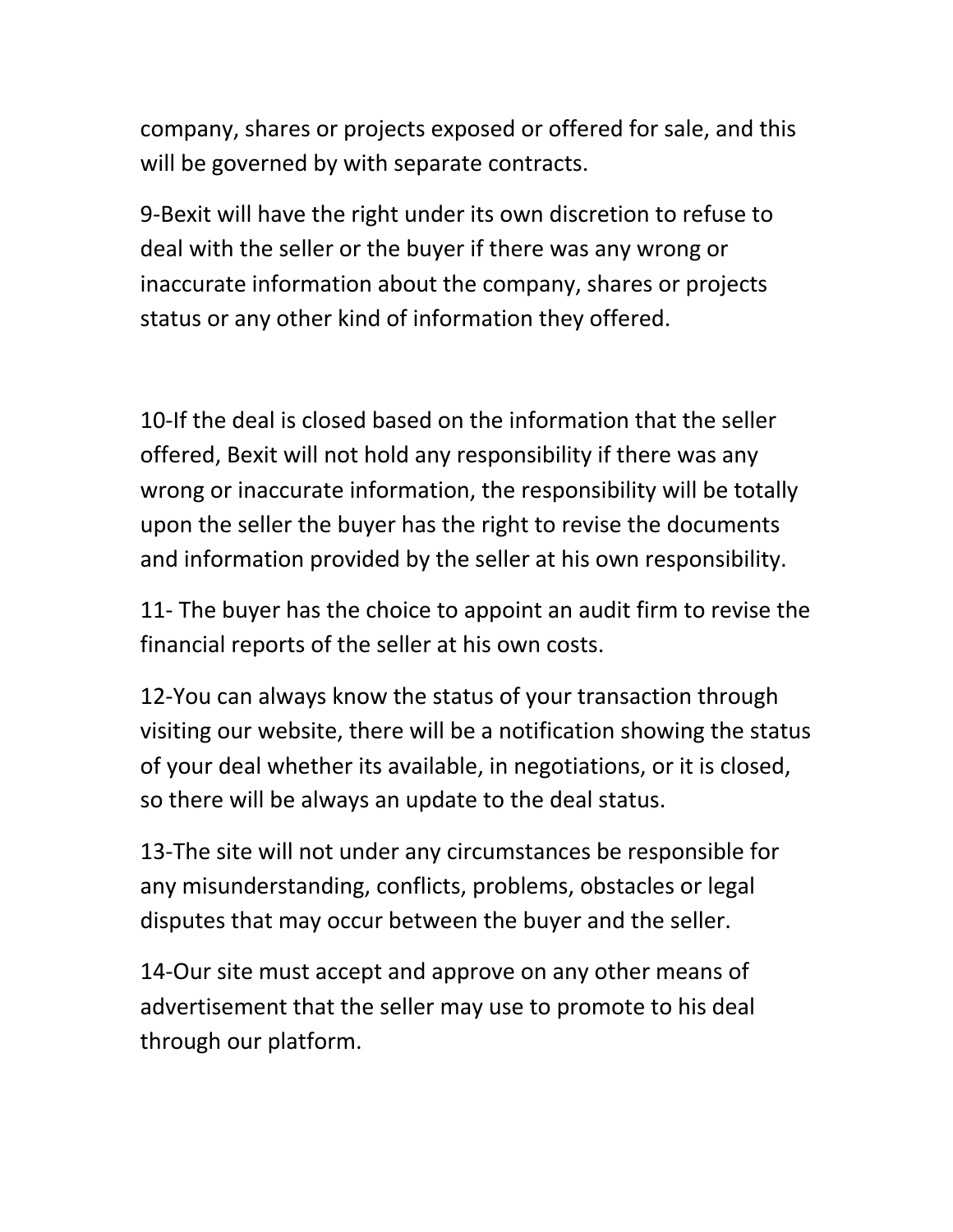company, shares or projects exposed or offered for sale, and this will be governed by with separate contracts.

9-Bexit will have the right under its own discretion to refuse to deal with the seller or the buyer if there was any wrong or inaccurate information about the company, shares or projects status or any other kind of information they offered.

10-If the deal is closed based on the information that the seller offered, Bexit will not hold any responsibility if there was any wrong or inaccurate information, the responsibility will be totally upon the seller the buyer has the right to revise the documents and information provided by the seller at his own responsibility.

11- The buyer has the choice to appoint an audit firm to revise the financial reports of the seller at his own costs.

12-You can always know the status of your transaction through visiting our website, there will be a notification showing the status of your deal whether its available, in negotiations, or it is closed, so there will be always an update to the deal status.

13-The site will not under any circumstances be responsible for any misunderstanding, conflicts, problems, obstacles or legal disputes that may occur between the buyer and the seller.

14-Our site must accept and approve on any other means of advertisement that the seller may use to promote to his deal through our platform.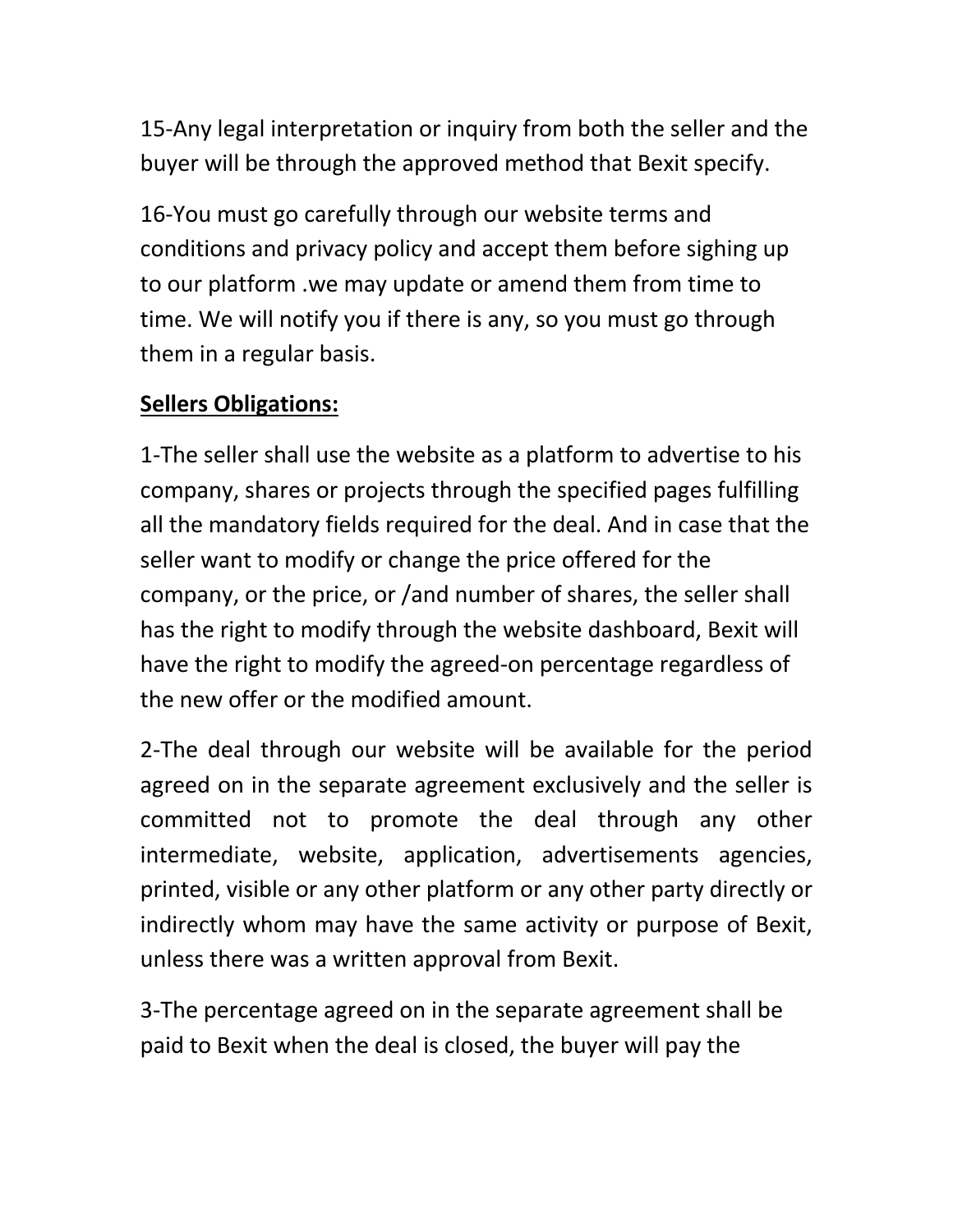15-Any legal interpretation or inquiry from both the seller and the buyer will be through the approved method that Bexit specify.

16-You must go carefully through our website terms and conditions and privacy policy and accept them before sighing up to our platform .we may update or amend them from time to time. We will notify you if there is any, so you must go through them in a regular basis.

# **Sellers Obligations:**

1-The seller shall use the website as a platform to advertise to his company, shares or projects through the specified pages fulfilling all the mandatory fields required for the deal. And in case that the seller want to modify or change the price offered for the company, or the price, or /and number of shares, the seller shall has the right to modify through the website dashboard, Bexit will have the right to modify the agreed-on percentage regardless of the new offer or the modified amount.

2-The deal through our website will be available for the period agreed on in the separate agreement exclusively and the seller is committed not to promote the deal through any other intermediate, website, application, advertisements agencies, printed, visible or any other platform or any other party directly or indirectly whom may have the same activity or purpose of Bexit, unless there was a written approval from Bexit.

3-The percentage agreed on in the separate agreement shall be paid to Bexit when the deal is closed, the buyer will pay the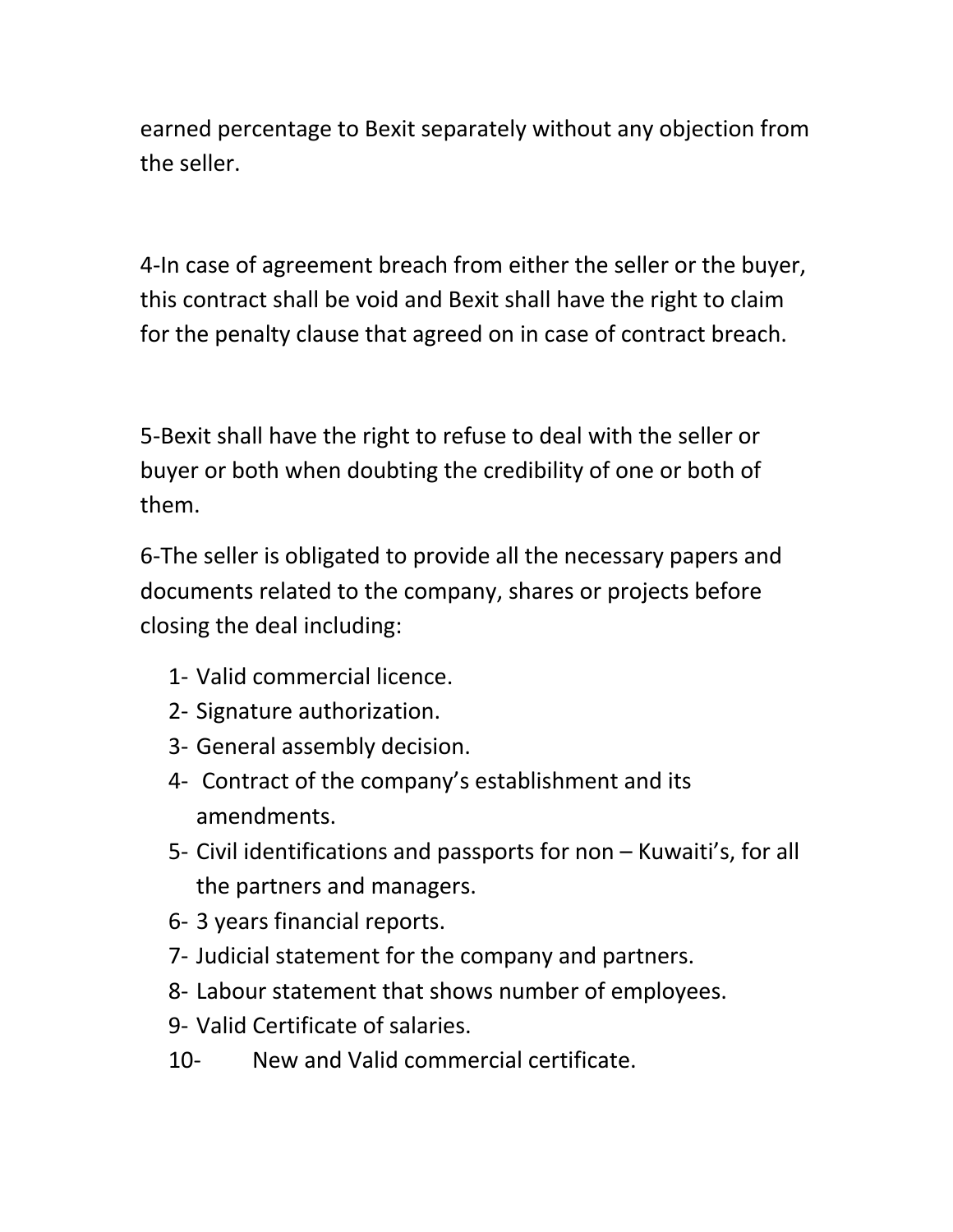earned percentage to Bexit separately without any objection from the seller.

4-In case of agreement breach from either the seller or the buyer, this contract shall be void and Bexit shall have the right to claim for the penalty clause that agreed on in case of contract breach.

5-Bexit shall have the right to refuse to deal with the seller or buyer or both when doubting the credibility of one or both of them.

6-The seller is obligated to provide all the necessary papers and documents related to the company, shares or projects before closing the deal including:

- 1- Valid commercial licence.
- 2- Signature authorization.
- 3- General assembly decision.
- 4- Contract of the company's establishment and its amendments.
- 5- Civil identifications and passports for non Kuwaiti's, for all the partners and managers.
- 6- 3 years financial reports.
- 7- Judicial statement for the company and partners.
- 8- Labour statement that shows number of employees.
- 9- Valid Certificate of salaries.
- 10- New and Valid commercial certificate.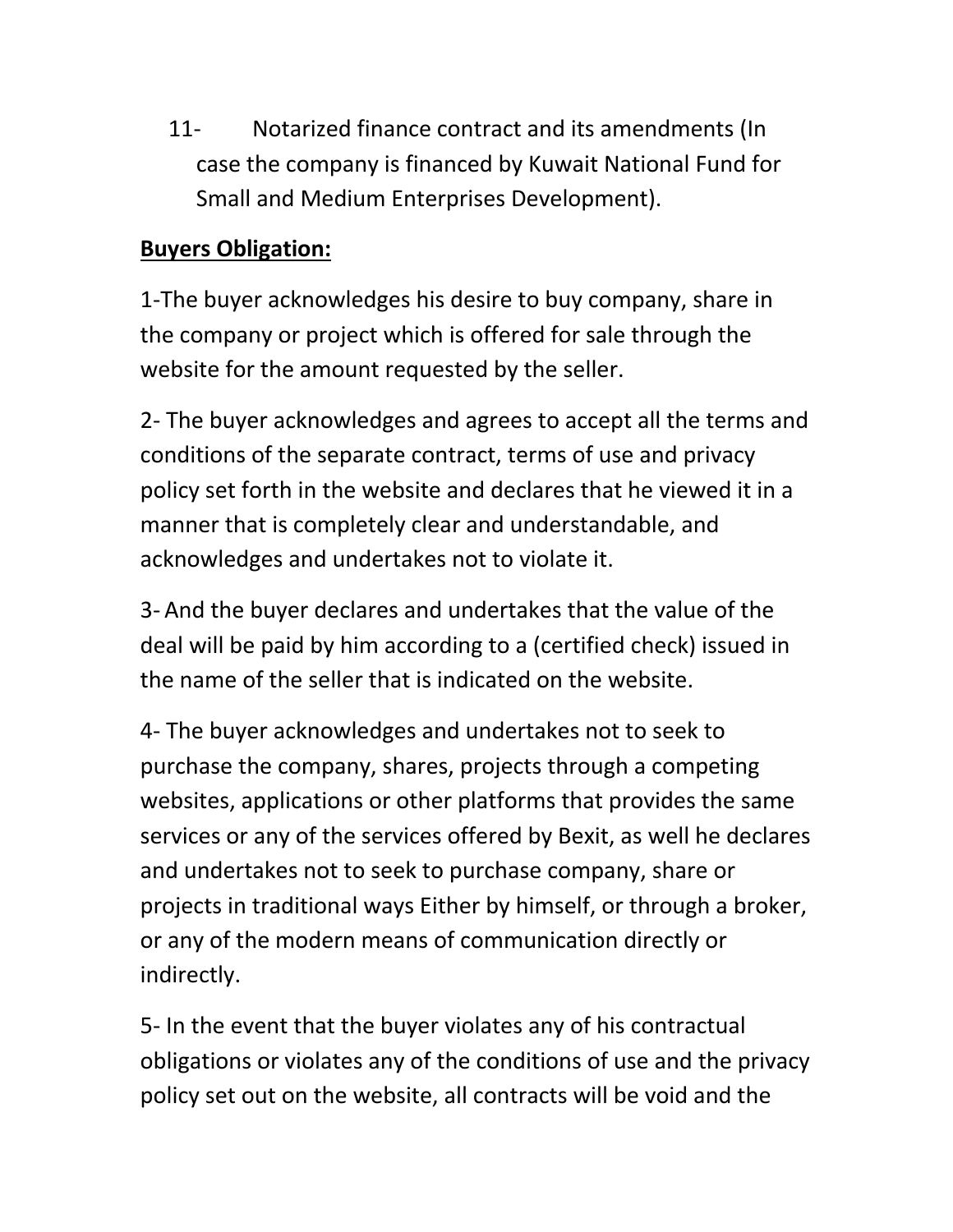11- Notarized finance contract and its amendments (In case the company is financed by Kuwait National Fund for Small and Medium Enterprises Development).

### **Buyers Obligation:**

1-The buyer acknowledges his desire to buy company, share in the company or project which is offered for sale through the website for the amount requested by the seller.

2- The buyer acknowledges and agrees to accept all the terms and conditions of the separate contract, terms of use and privacy policy set forth in the website and declares that he viewed it in a manner that is completely clear and understandable, and acknowledges and undertakes not to violate it.

3- And the buyer declares and undertakes that the value of the deal will be paid by him according to a (certified check) issued in the name of the seller that is indicated on the website.

4- The buyer acknowledges and undertakes not to seek to purchase the company, shares, projects through a competing websites, applications or other platforms that provides the same services or any of the services offered by Bexit, as well he declares and undertakes not to seek to purchase company, share or projects in traditional ways Either by himself, or through a broker, or any of the modern means of communication directly or indirectly.

5- In the event that the buyer violates any of his contractual obligations or violates any of the conditions of use and the privacy policy set out on the website, all contracts will be void and the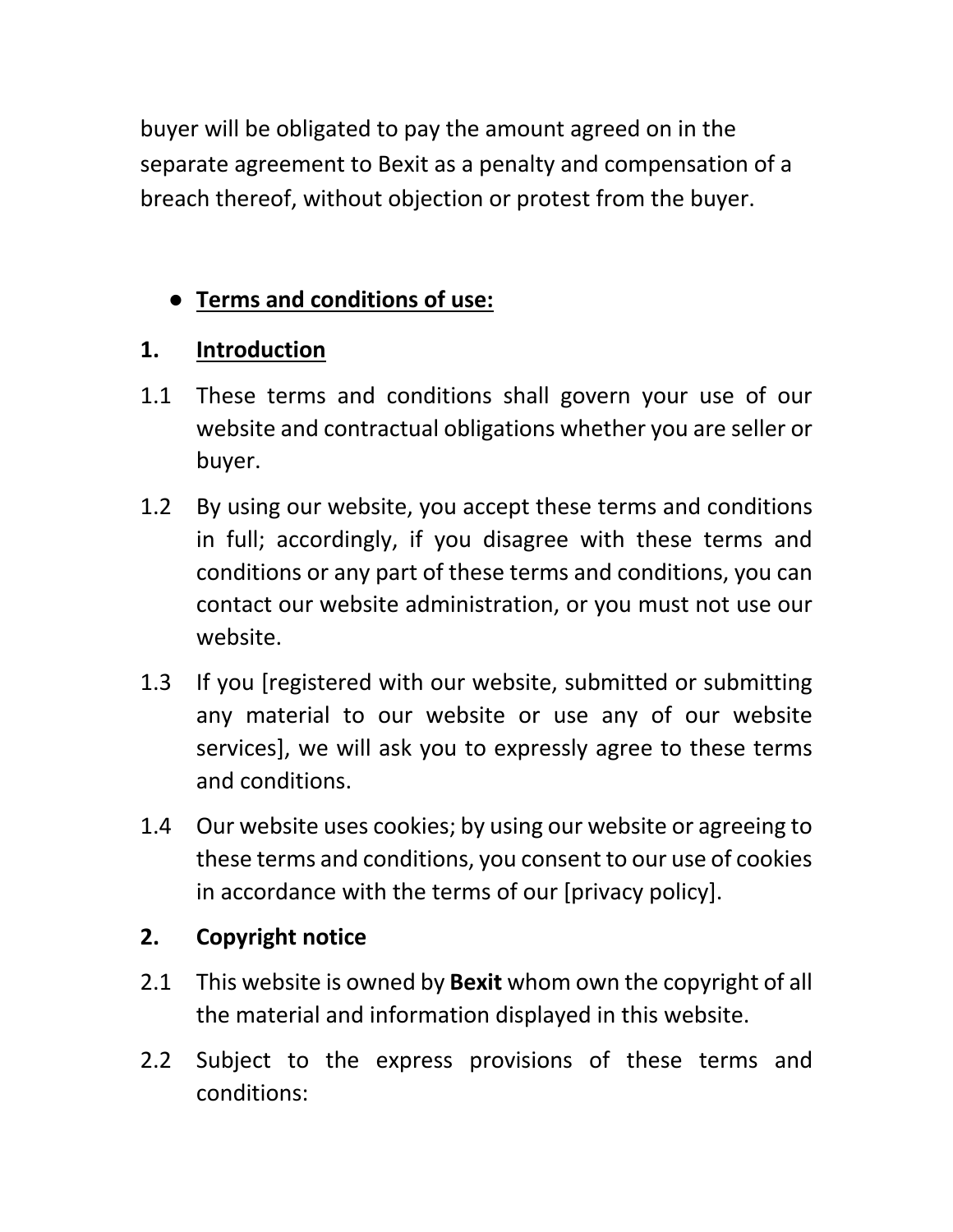buyer will be obligated to pay the amount agreed on in the separate agreement to Bexit as a penalty and compensation of a breach thereof, without objection or protest from the buyer.

# ● **Terms and conditions of use:**

## **1. Introduction**

- 1.1 These terms and conditions shall govern your use of our website and contractual obligations whether you are seller or buyer.
- 1.2 By using our website, you accept these terms and conditions in full; accordingly, if you disagree with these terms and conditions or any part of these terms and conditions, you can contact our website administration, or you must not use our website.
- 1.3 If you [registered with our website, submitted or submitting any material to our website or use any of our website services], we will ask you to expressly agree to these terms and conditions.
- 1.4 Our website uses cookies; by using our website or agreeing to these terms and conditions, you consent to our use of cookies in accordance with the terms of our [privacy policy].

## **2. Copyright notice**

- 2.1 This website is owned by **Bexit** whom own the copyright of all the material and information displayed in this website.
- 2.2 Subject to the express provisions of these terms and conditions: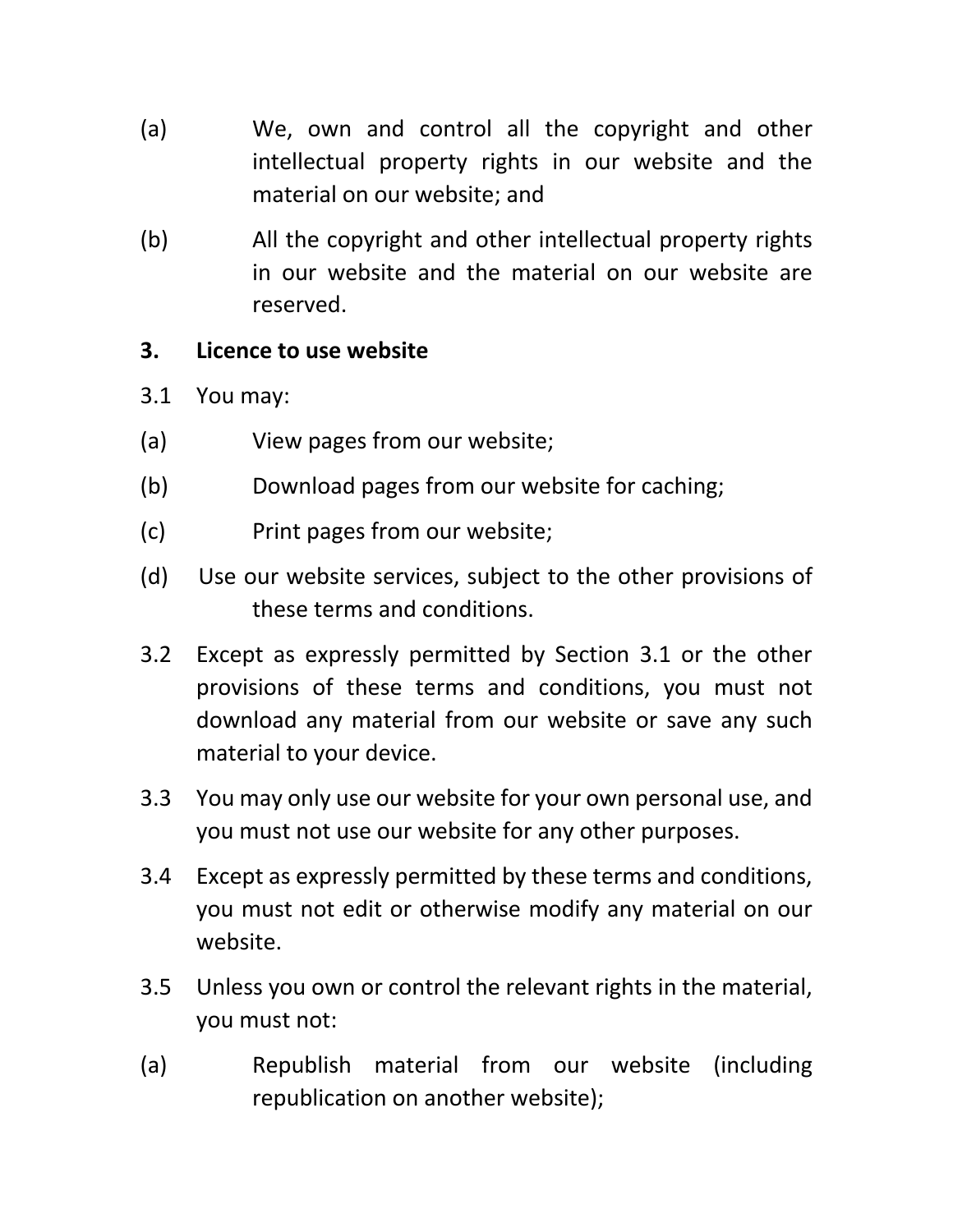- (a) We, own and control all the copyright and other intellectual property rights in our website and the material on our website; and
- (b) All the copyright and other intellectual property rights in our website and the material on our website are reserved.

## **3. Licence to use website**

- 3.1 You may:
- (a) View pages from our website;
- (b) Download pages from our website for caching;
- (c) Print pages from our website;
- (d) Use our website services, subject to the other provisions of these terms and conditions.
- 3.2 Except as expressly permitted by Section 3.1 or the other provisions of these terms and conditions, you must not download any material from our website or save any such material to your device.
- 3.3 You may only use our website for your own personal use, and you must not use our website for any other purposes.
- 3.4 Except as expressly permitted by these terms and conditions, you must not edit or otherwise modify any material on our website.
- 3.5 Unless you own or control the relevant rights in the material, you must not:
- (a) Republish material from our website (including republication on another website);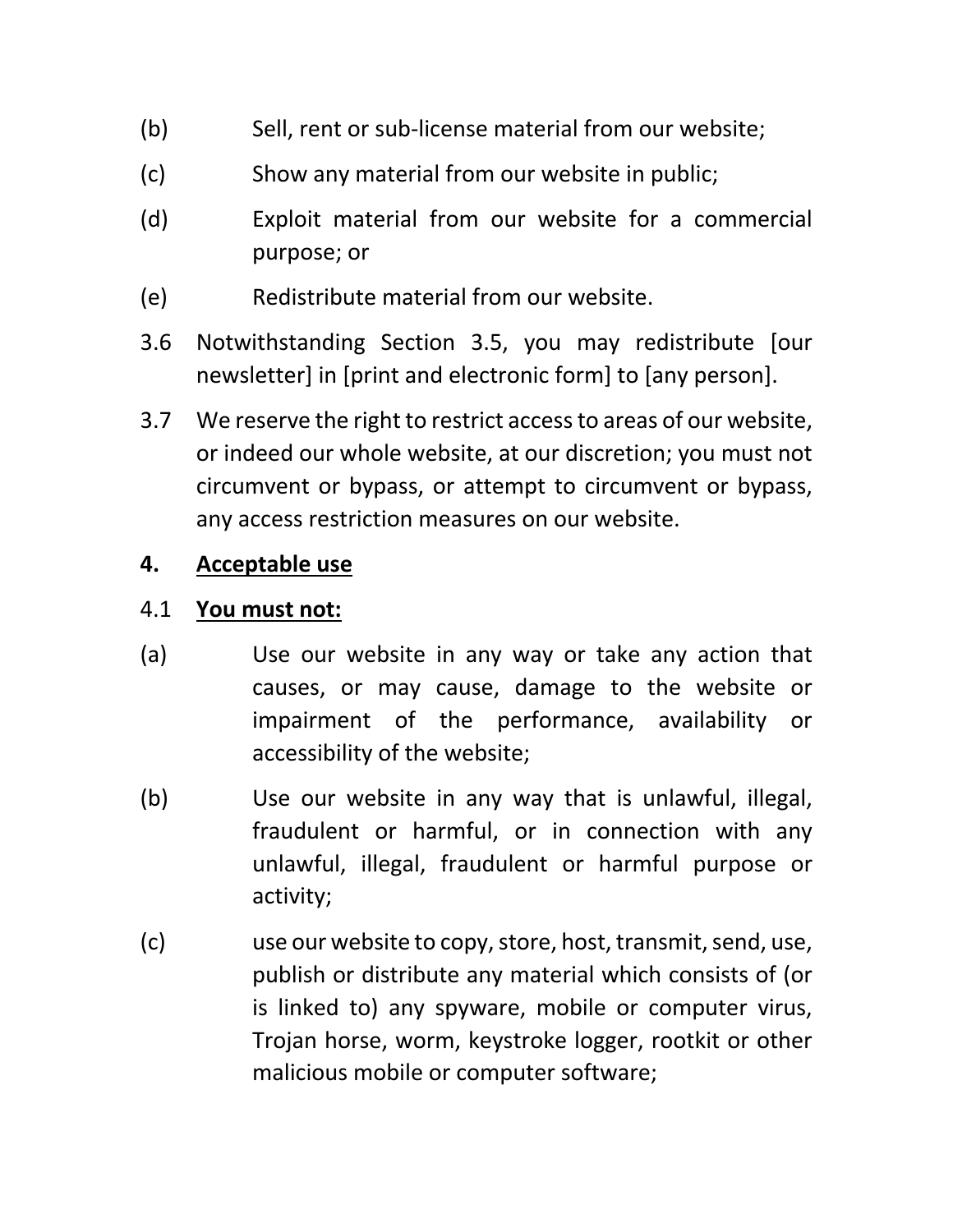- (b) Sell, rent or sub-license material from our website;
- (c) Show any material from our website in public;
- (d) Exploit material from our website for a commercial purpose; or
- (e) Redistribute material from our website.
- 3.6 Notwithstanding Section 3.5, you may redistribute [our newsletter] in [print and electronic form] to [any person].
- 3.7 We reserve the right to restrict access to areas of our website, or indeed our whole website, at our discretion; you must not circumvent or bypass, or attempt to circumvent or bypass, any access restriction measures on our website.

#### **4. Acceptable use**

#### 4.1 **You must not:**

- (a) Use our website in any way or take any action that causes, or may cause, damage to the website or impairment of the performance, availability or accessibility of the website;
- (b) Use our website in any way that is unlawful, illegal, fraudulent or harmful, or in connection with any unlawful, illegal, fraudulent or harmful purpose or activity;
- (c) use our website to copy, store, host, transmit, send, use, publish or distribute any material which consists of (or is linked to) any spyware, mobile or computer virus, Trojan horse, worm, keystroke logger, rootkit or other malicious mobile or computer software;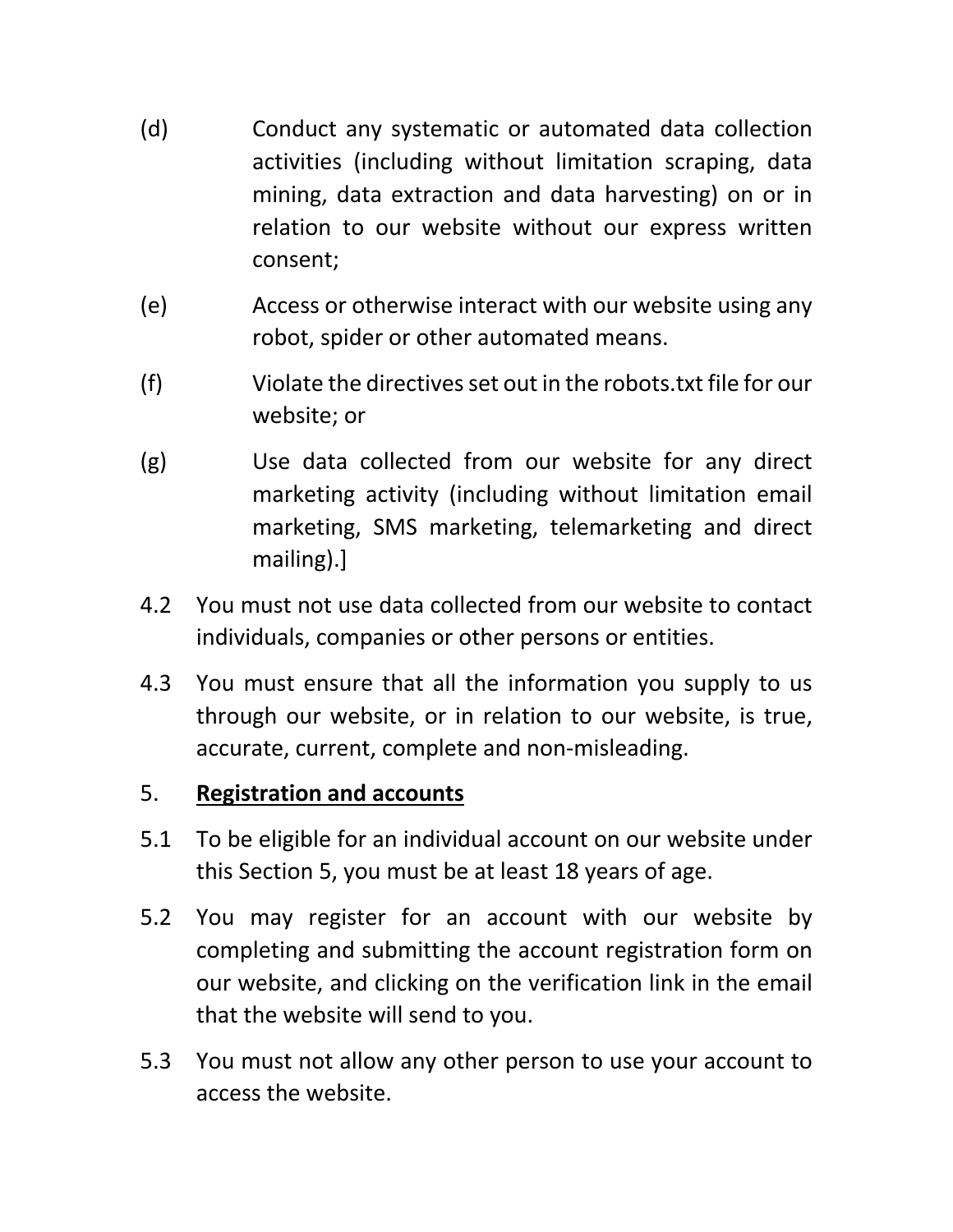- (d) Conduct any systematic or automated data collection activities (including without limitation scraping, data mining, data extraction and data harvesting) on or in relation to our website without our express written consent;
- (e) Access or otherwise interact with our website using any robot, spider or other automated means.
- (f) Violate the directives set out in the robots.txt file for our website; or
- (g) Use data collected from our website for any direct marketing activity (including without limitation email marketing, SMS marketing, telemarketing and direct mailing).]
- 4.2 You must not use data collected from our website to contact individuals, companies or other persons or entities.
- 4.3 You must ensure that all the information you supply to us through our website, or in relation to our website, is true, accurate, current, complete and non-misleading.

## 5. **Registration and accounts**

- 5.1 To be eligible for an individual account on our website under this Section 5, you must be at least 18 years of age.
- 5.2 You may register for an account with our website by completing and submitting the account registration form on our website, and clicking on the verification link in the email that the website will send to you.
- 5.3 You must not allow any other person to use your account to access the website.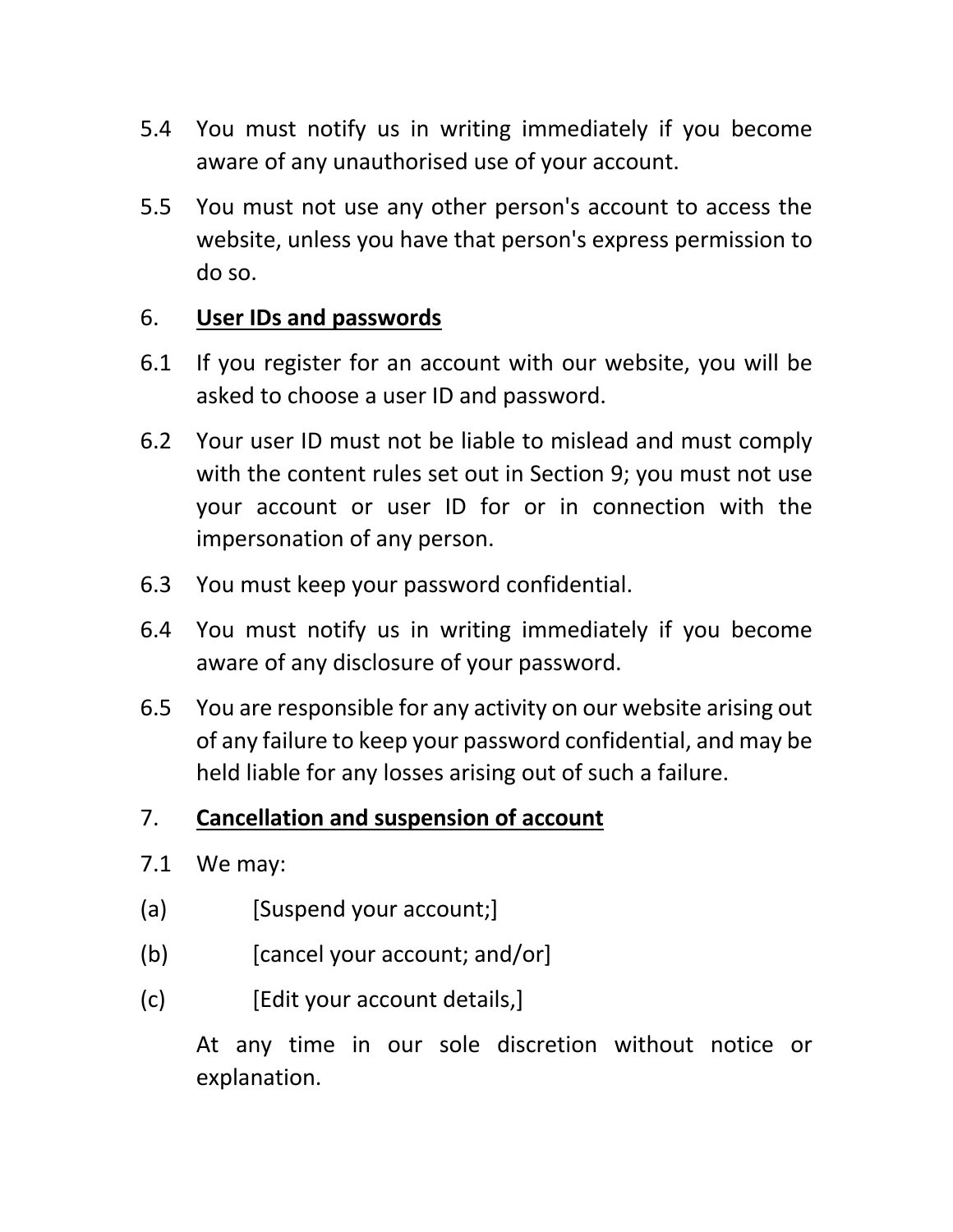- 5.4 You must notify us in writing immediately if you become aware of any unauthorised use of your account.
- 5.5 You must not use any other person's account to access the website, unless you have that person's express permission to do so.

#### 6. **User IDs and passwords**

- 6.1 If you register for an account with our website, you will be asked to choose a user ID and password.
- 6.2 Your user ID must not be liable to mislead and must comply with the content rules set out in Section 9; you must not use your account or user ID for or in connection with the impersonation of any person.
- 6.3 You must keep your password confidential.
- 6.4 You must notify us in writing immediately if you become aware of any disclosure of your password.
- 6.5 You are responsible for any activity on our website arising out of any failure to keep your password confidential, and may be held liable for any losses arising out of such a failure.

## 7. **Cancellation and suspension of account**

- 7.1 We may:
- (a) [Suspend your account;]
- (b) [cancel your account; and/or]
- (c) [Edit your account details,]

At any time in our sole discretion without notice or explanation.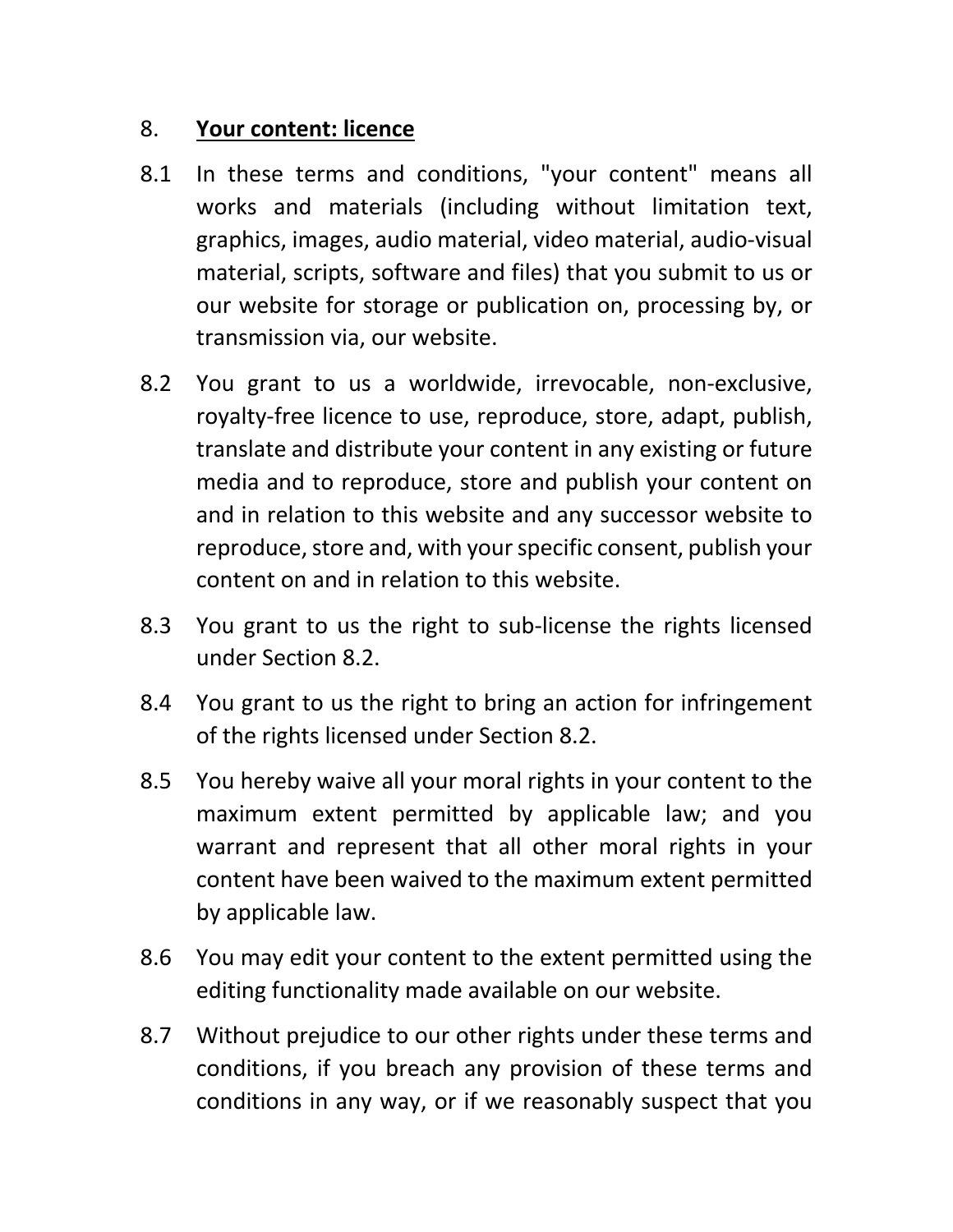#### 8. **Your content: licence**

- 8.1 In these terms and conditions, "your content" means all works and materials (including without limitation text, graphics, images, audio material, video material, audio-visual material, scripts, software and files) that you submit to us or our website for storage or publication on, processing by, or transmission via, our website.
- 8.2 You grant to us a worldwide, irrevocable, non-exclusive, royalty-free licence to use, reproduce, store, adapt, publish, translate and distribute your content in any existing or future media and to reproduce, store and publish your content on and in relation to this website and any successor website to reproduce, store and, with your specific consent, publish your content on and in relation to this website.
- 8.3 You grant to us the right to sub-license the rights licensed under Section 8.2.
- 8.4 You grant to us the right to bring an action for infringement of the rights licensed under Section 8.2.
- 8.5 You hereby waive all your moral rights in your content to the maximum extent permitted by applicable law; and you warrant and represent that all other moral rights in your content have been waived to the maximum extent permitted by applicable law.
- 8.6 You may edit your content to the extent permitted using the editing functionality made available on our website.
- 8.7 Without prejudice to our other rights under these terms and conditions, if you breach any provision of these terms and conditions in any way, or if we reasonably suspect that you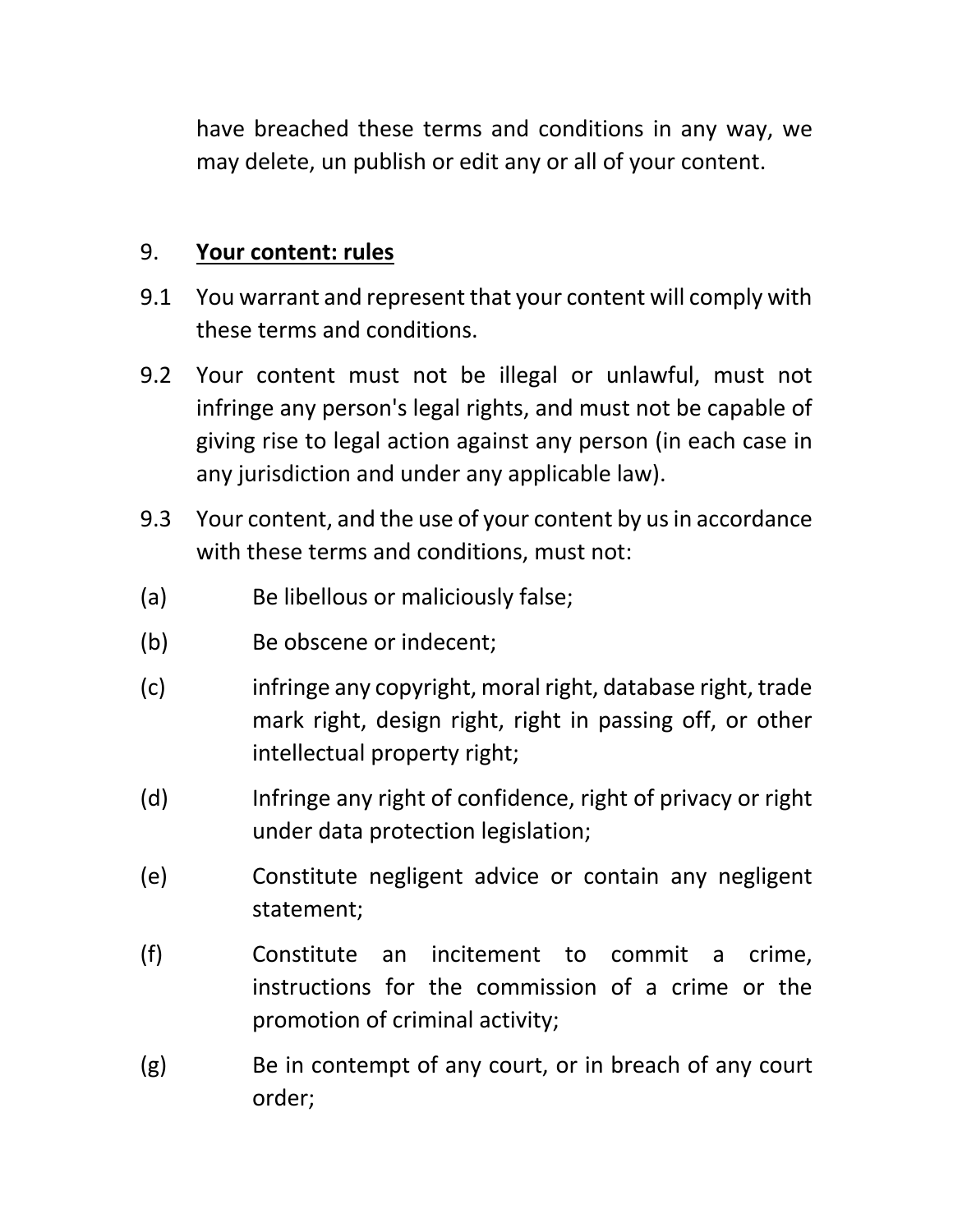have breached these terms and conditions in any way, we may delete, un publish or edit any or all of your content.

#### 9. **Your content: rules**

- 9.1 You warrant and represent that your content will comply with these terms and conditions.
- 9.2 Your content must not be illegal or unlawful, must not infringe any person's legal rights, and must not be capable of giving rise to legal action against any person (in each case in any jurisdiction and under any applicable law).
- 9.3 Your content, and the use of your content by us in accordance with these terms and conditions, must not:
- (a) Be libellous or maliciously false;
- (b) Be obscene or indecent;
- (c) infringe any copyright, moral right, database right, trade mark right, design right, right in passing off, or other intellectual property right;
- (d) Infringe any right of confidence, right of privacy or right under data protection legislation;
- (e) Constitute negligent advice or contain any negligent statement;
- (f) Constitute an incitement to commit a crime, instructions for the commission of a crime or the promotion of criminal activity;
- (g) Be in contempt of any court, or in breach of any court order;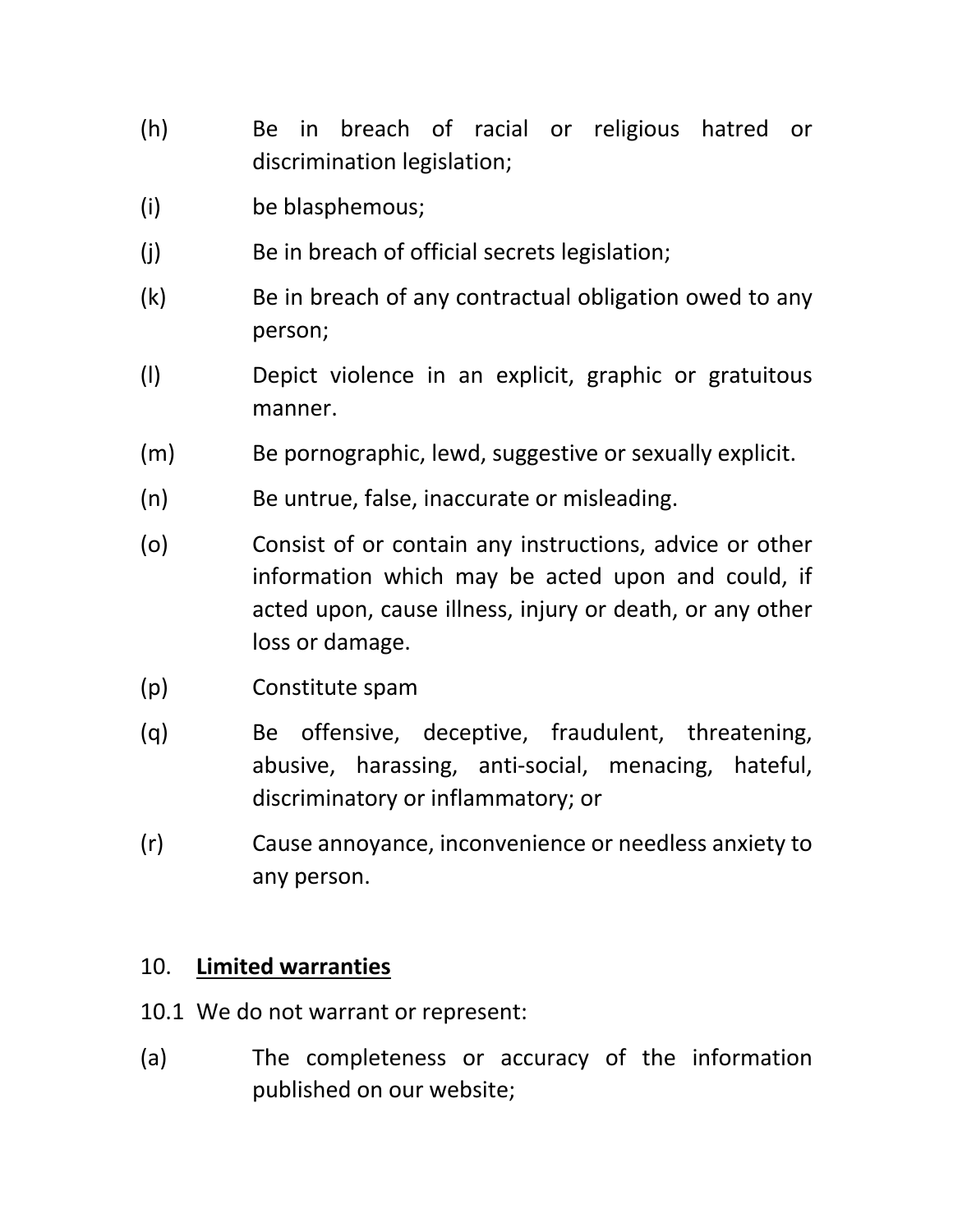- (h) Be in breach of racial or religious hatred or discrimination legislation;
- (i) be blasphemous;
- (j) Be in breach of official secrets legislation;
- (k) Be in breach of any contractual obligation owed to any person;
- (l) Depict violence in an explicit, graphic or gratuitous manner.
- (m) Be pornographic, lewd, suggestive or sexually explicit.
- (n) Be untrue, false, inaccurate or misleading.
- (o) Consist of or contain any instructions, advice or other information which may be acted upon and could, if acted upon, cause illness, injury or death, or any other loss or damage.
- (p) Constitute spam
- (q) Be offensive, deceptive, fraudulent, threatening, abusive, harassing, anti-social, menacing, hateful, discriminatory or inflammatory; or
- (r) Cause annoyance, inconvenience or needless anxiety to any person.

#### 10. **Limited warranties**

- 10.1 We do not warrant or represent:
- (a) The completeness or accuracy of the information published on our website;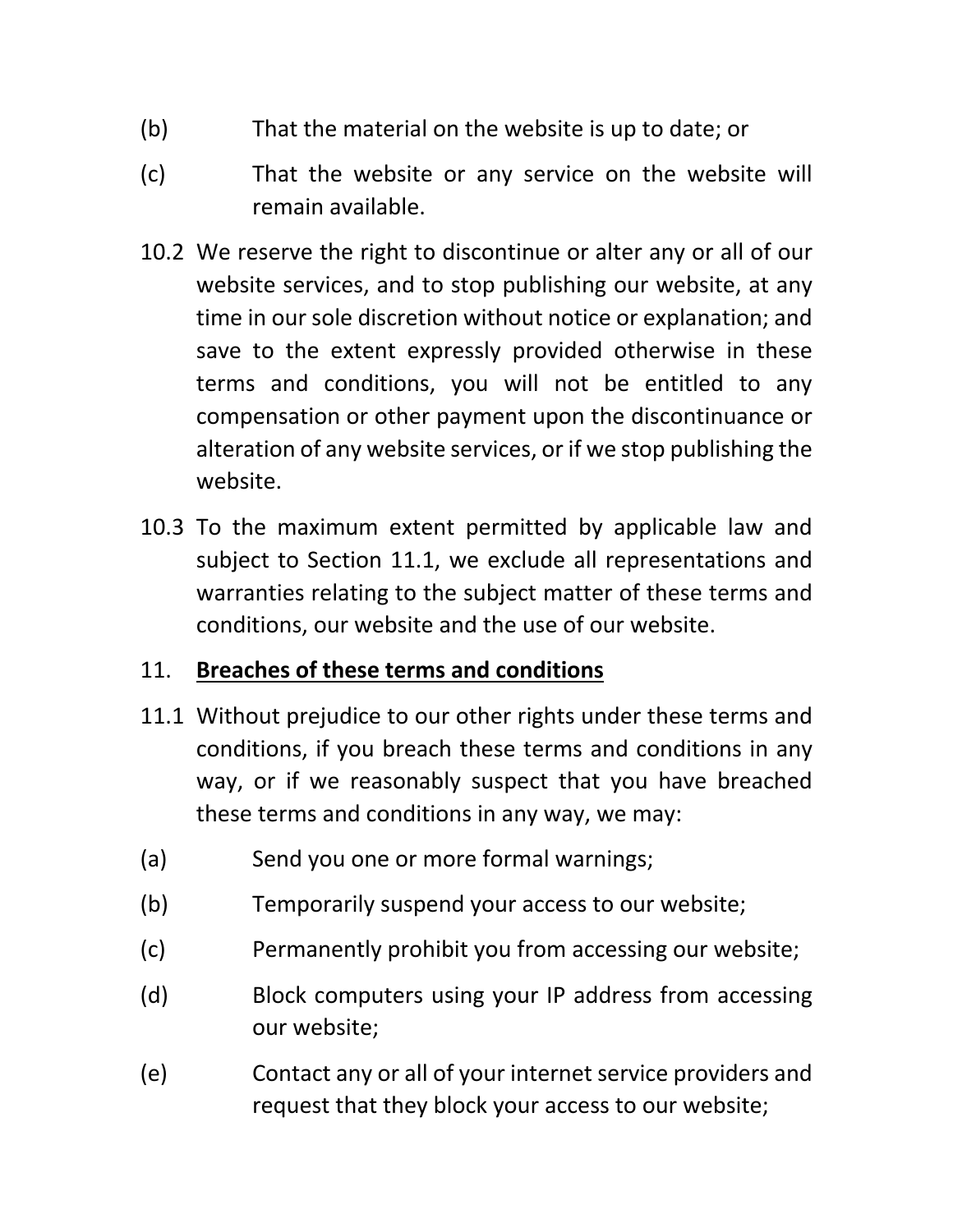- (b) That the material on the website is up to date; or
- (c) That the website or any service on the website will remain available.
- 10.2 We reserve the right to discontinue or alter any or all of our website services, and to stop publishing our website, at any time in our sole discretion without notice or explanation; and save to the extent expressly provided otherwise in these terms and conditions, you will not be entitled to any compensation or other payment upon the discontinuance or alteration of any website services, or if we stop publishing the website.
- 10.3 To the maximum extent permitted by applicable law and subject to Section 11.1, we exclude all representations and warranties relating to the subject matter of these terms and conditions, our website and the use of our website.

## 11. **Breaches of these terms and conditions**

- 11.1 Without prejudice to our other rights under these terms and conditions, if you breach these terms and conditions in any way, or if we reasonably suspect that you have breached these terms and conditions in any way, we may:
- (a) Send you one or more formal warnings;
- (b) Temporarily suspend your access to our website;
- (c) Permanently prohibit you from accessing our website;
- (d) Block computers using your IP address from accessing our website;
- (e) Contact any or all of your internet service providers and request that they block your access to our website;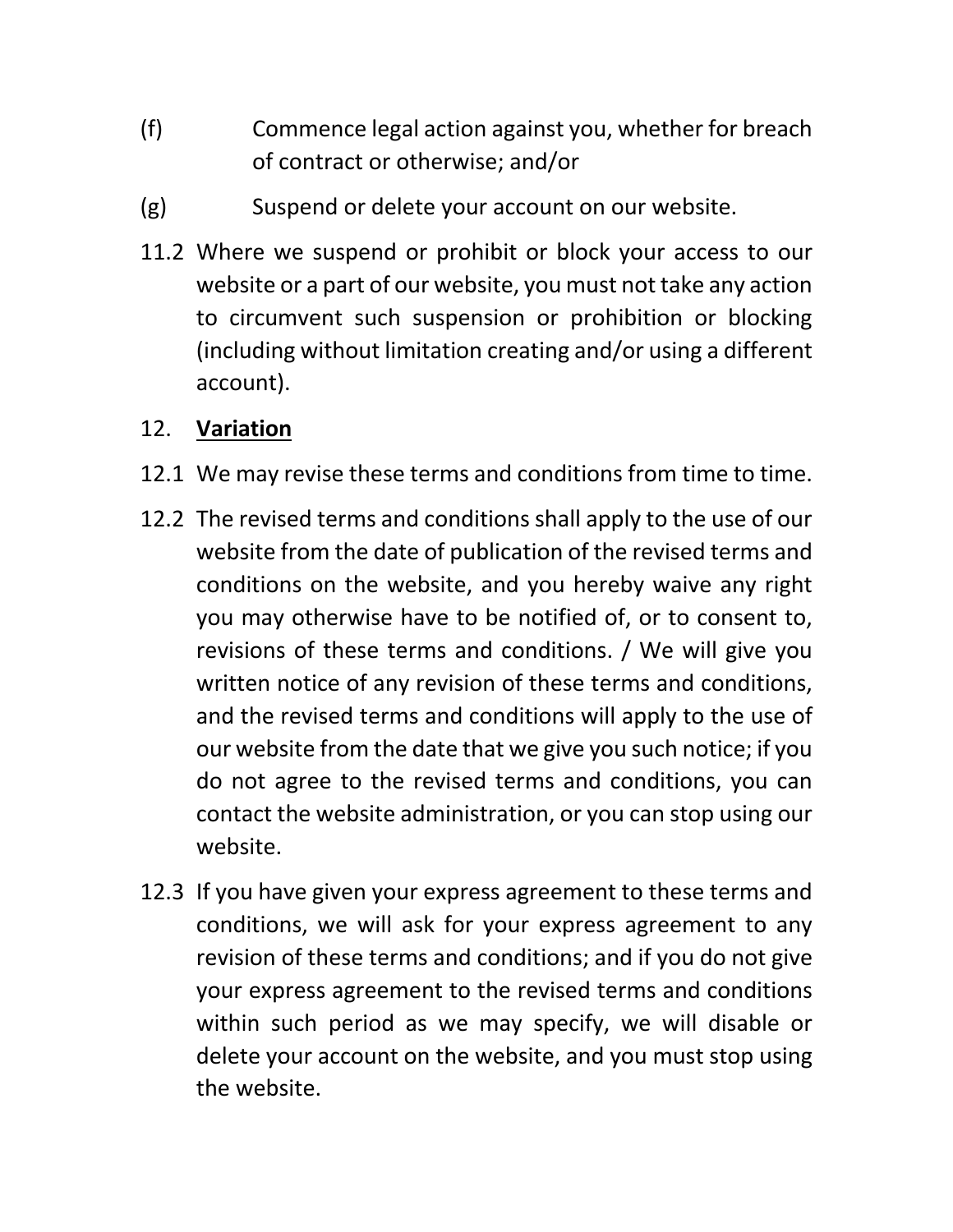- (f) Commence legal action against you, whether for breach of contract or otherwise; and/or
- (g) Suspend or delete your account on our website.
- 11.2 Where we suspend or prohibit or block your access to our website or a part of our website, you must not take any action to circumvent such suspension or prohibition or blocking (including without limitation creating and/or using a different account).

#### 12. **Variation**

- 12.1 We may revise these terms and conditions from time to time.
- 12.2 The revised terms and conditions shall apply to the use of our website from the date of publication of the revised terms and conditions on the website, and you hereby waive any right you may otherwise have to be notified of, or to consent to, revisions of these terms and conditions. / We will give you written notice of any revision of these terms and conditions, and the revised terms and conditions will apply to the use of our website from the date that we give you such notice; if you do not agree to the revised terms and conditions, you can contact the website administration, or you can stop using our website.
- 12.3 If you have given your express agreement to these terms and conditions, we will ask for your express agreement to any revision of these terms and conditions; and if you do not give your express agreement to the revised terms and conditions within such period as we may specify, we will disable or delete your account on the website, and you must stop using the website.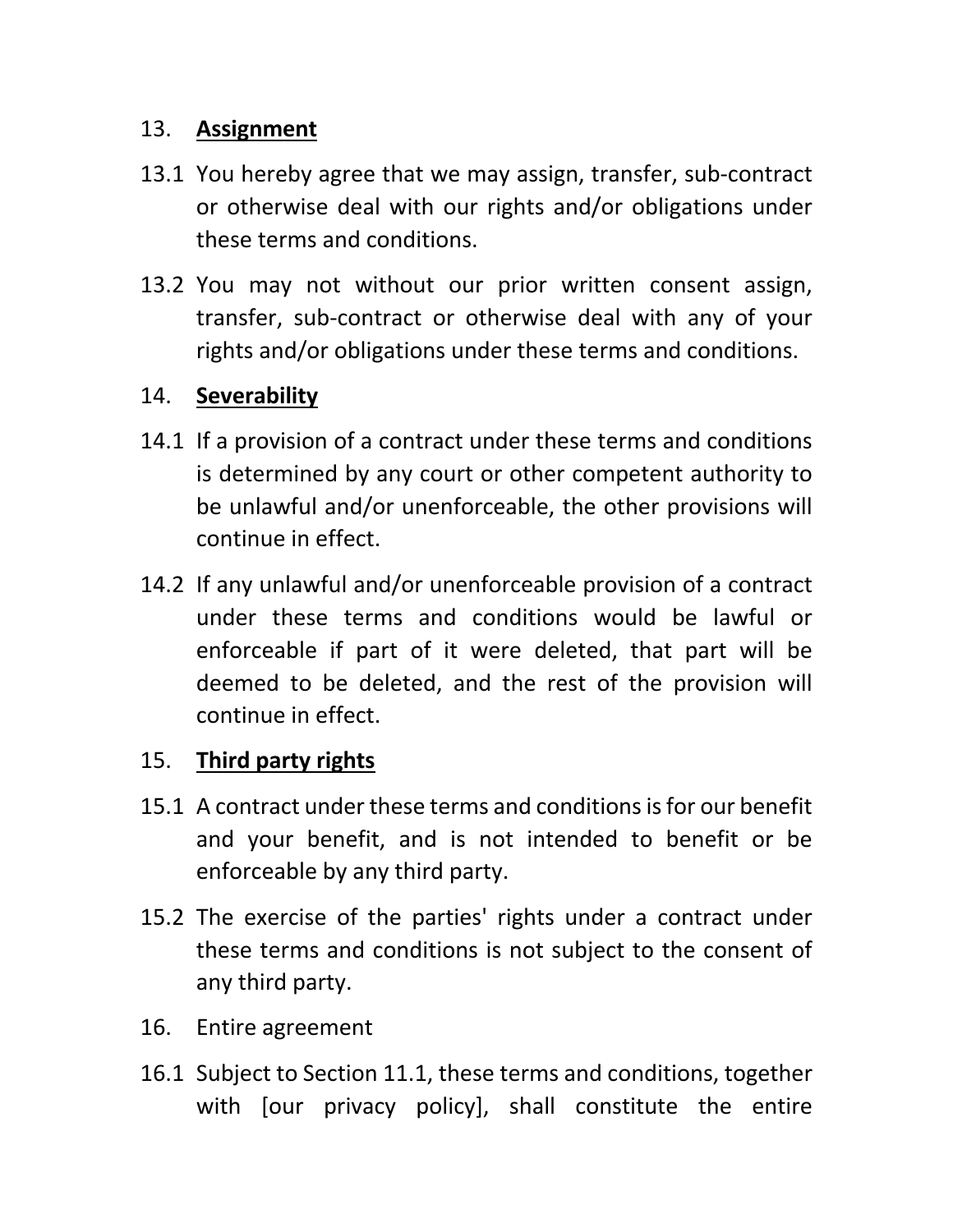#### 13. **Assignment**

- 13.1 You hereby agree that we may assign, transfer, sub-contract or otherwise deal with our rights and/or obligations under these terms and conditions.
- 13.2 You may not without our prior written consent assign, transfer, sub-contract or otherwise deal with any of your rights and/or obligations under these terms and conditions.

## 14. **Severability**

- 14.1 If a provision of a contract under these terms and conditions is determined by any court or other competent authority to be unlawful and/or unenforceable, the other provisions will continue in effect.
- 14.2 If any unlawful and/or unenforceable provision of a contract under these terms and conditions would be lawful or enforceable if part of it were deleted, that part will be deemed to be deleted, and the rest of the provision will continue in effect.

## 15. **Third party rights**

- 15.1 A contract under these terms and conditions is for our benefit and your benefit, and is not intended to benefit or be enforceable by any third party.
- 15.2 The exercise of the parties' rights under a contract under these terms and conditions is not subject to the consent of any third party.
- 16. Entire agreement
- 16.1 Subject to Section 11.1, these terms and conditions, together with [our privacy policy], shall constitute the entire